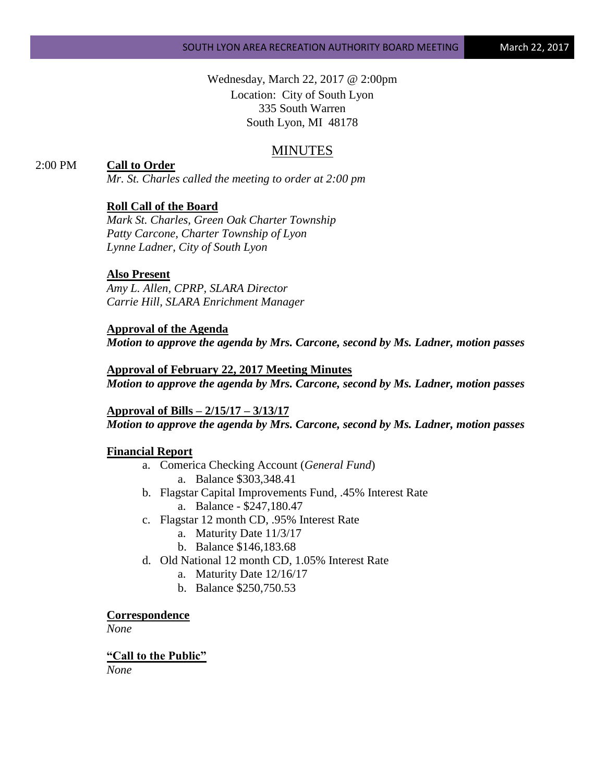Wednesday, March 22, 2017 @ 2:00pm Location: City of South Lyon 335 South Warren South Lyon, MI 48178

# MINUTES

# 2:00 PM **Call to Order**

*Mr. St. Charles called the meeting to order at 2:00 pm*

### **Roll Call of the Board**

*Mark St. Charles, Green Oak Charter Township Patty Carcone, Charter Township of Lyon Lynne Ladner, City of South Lyon*

#### **Also Present**

*Amy L. Allen, CPRP, SLARA Director Carrie Hill, SLARA Enrichment Manager*

**Approval of the Agenda** *Motion to approve the agenda by Mrs. Carcone, second by Ms. Ladner, motion passes*

**Approval of February 22, 2017 Meeting Minutes** *Motion to approve the agenda by Mrs. Carcone, second by Ms. Ladner, motion passes*

**Approval of Bills – 2/15/17 – 3/13/17** *Motion to approve the agenda by Mrs. Carcone, second by Ms. Ladner, motion passes*

### **Financial Report**

- a. Comerica Checking Account (*General Fund*) a. Balance \$303,348.41
- b. Flagstar Capital Improvements Fund, .45% Interest Rate a. Balance - \$247,180.47
- c. Flagstar 12 month CD, .95% Interest Rate
	- a. Maturity Date 11/3/17
	- b. Balance \$146,183.68
- d. Old National 12 month CD, 1.05% Interest Rate
	- a. Maturity Date 12/16/17
	- b. Balance \$250,750.53

#### **Correspondence**

*None*

#### **"Call to the Public"**

*None*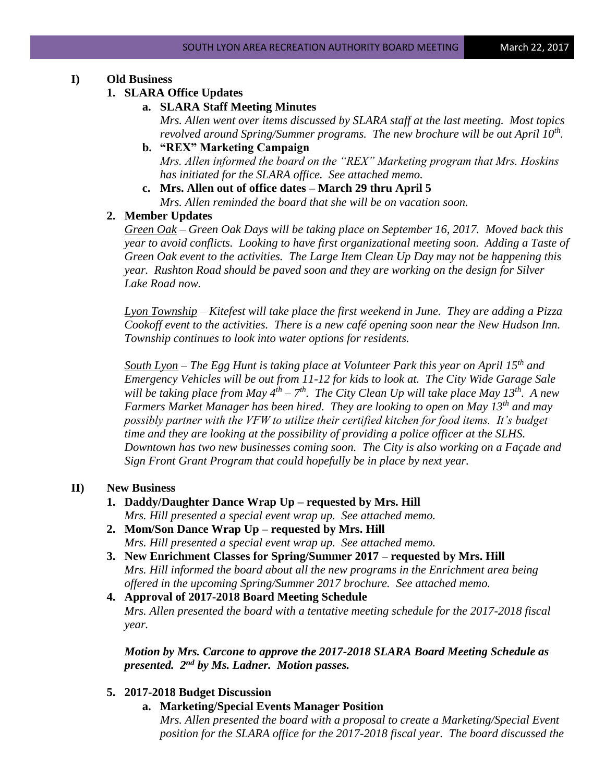# **I) Old Business**

### **1. SLARA Office Updates**

# **a. SLARA Staff Meeting Minutes**

*Mrs. Allen went over items discussed by SLARA staff at the last meeting. Most topics revolved around Spring/Summer programs. The new brochure will be out April 10th .*

- **b. "REX" Marketing Campaign** *Mrs. Allen informed the board on the "REX" Marketing program that Mrs. Hoskins has initiated for the SLARA office. See attached memo.*
- **c. Mrs. Allen out of office dates – March 29 thru April 5** *Mrs. Allen reminded the board that she will be on vacation soon.*

## **2. Member Updates**

*Green Oak – Green Oak Days will be taking place on September 16, 2017. Moved back this year to avoid conflicts. Looking to have first organizational meeting soon. Adding a Taste of Green Oak event to the activities. The Large Item Clean Up Day may not be happening this year. Rushton Road should be paved soon and they are working on the design for Silver Lake Road now.*

*Lyon Township – Kitefest will take place the first weekend in June. They are adding a Pizza Cookoff event to the activities. There is a new café opening soon near the New Hudson Inn. Township continues to look into water options for residents.*

*South Lyon – The Egg Hunt is taking place at Volunteer Park this year on April 15th and Emergency Vehicles will be out from 11-12 for kids to look at. The City Wide Garage Sale will be taking place from May 4th – 7 th. The City Clean Up will take place May 13th. A new Farmers Market Manager has been hired. They are looking to open on May 13th and may possibly partner with the VFW to utilize their certified kitchen for food items. It's budget time and they are looking at the possibility of providing a police officer at the SLHS. Downtown has two new businesses coming soon. The City is also working on a Façade and Sign Front Grant Program that could hopefully be in place by next year.*

# **II) New Business**

**1. Daddy/Daughter Dance Wrap Up – requested by Mrs. Hill**

*Mrs. Hill presented a special event wrap up. See attached memo.*

- **2. Mom/Son Dance Wrap Up – requested by Mrs. Hill** *Mrs. Hill presented a special event wrap up. See attached memo.*
- **3. New Enrichment Classes for Spring/Summer 2017 – requested by Mrs. Hill** *Mrs. Hill informed the board about all the new programs in the Enrichment area being offered in the upcoming Spring/Summer 2017 brochure. See attached memo.*
- **4. Approval of 2017-2018 Board Meeting Schedule** *Mrs. Allen presented the board with a tentative meeting schedule for the 2017-2018 fiscal year.*

*Motion by Mrs. Carcone to approve the 2017-2018 SLARA Board Meeting Schedule as presented. 2nd by Ms. Ladner. Motion passes.*

# **5. 2017-2018 Budget Discussion**

**a. Marketing/Special Events Manager Position**

*Mrs. Allen presented the board with a proposal to create a Marketing/Special Event position for the SLARA office for the 2017-2018 fiscal year. The board discussed the*